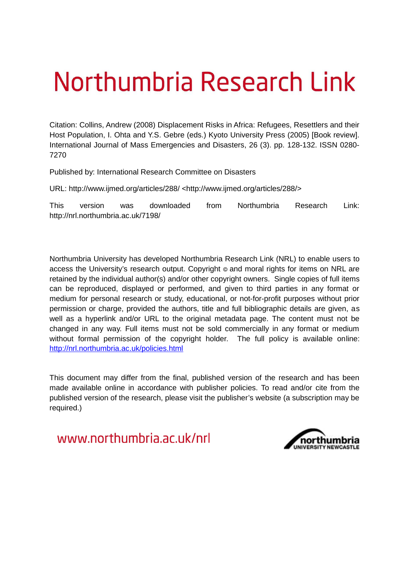## Northumbria Research Link

Citation: Collins, Andrew (2008) Displacement Risks in Africa: Refugees, Resettlers and their Host Population, I. Ohta and Y.S. Gebre (eds.) Kyoto University Press (2005) [Book review]. International Journal of Mass Emergencies and Disasters, 26 (3). pp. 128-132. ISSN 0280- 7270

Published by: International Research Committee on Disasters

URL: http://www.ijmed.org/articles/288/ <http://www.ijmed.org/articles/288/>

This version was downloaded from Northumbria Research Link: http://nrl.northumbria.ac.uk/7198/

Northumbria University has developed Northumbria Research Link (NRL) to enable users to access the University's research output. Copyright  $\circ$  and moral rights for items on NRL are retained by the individual author(s) and/or other copyright owners. Single copies of full items can be reproduced, displayed or performed, and given to third parties in any format or medium for personal research or study, educational, or not-for-profit purposes without prior permission or charge, provided the authors, title and full bibliographic details are given, as well as a hyperlink and/or URL to the original metadata page. The content must not be changed in any way. Full items must not be sold commercially in any format or medium without formal permission of the copyright holder. The full policy is available online: <http://nrl.northumbria.ac.uk/policies.html>

This document may differ from the final, published version of the research and has been made available online in accordance with publisher policies. To read and/or cite from the published version of the research, please visit the publisher's website (a subscription may be required.)

www.northumbria.ac.uk/nrl

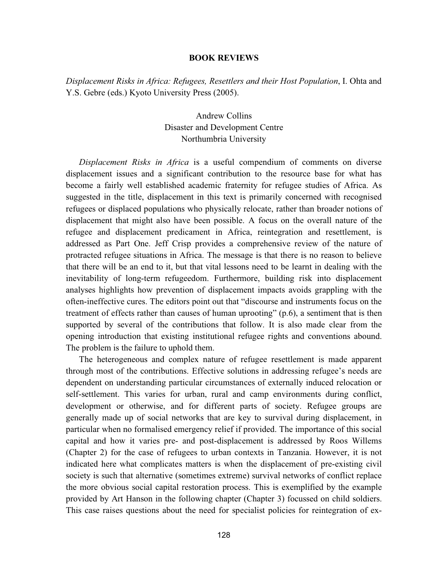## **BOOK REVIEWS**

*Displacement Risks in Africa: Refugees, Resettlers and their Host Population*, I. Ohta and Y.S. Gebre (eds.) Kyoto University Press (2005).

> Andrew Collins Disaster and Development Centre Northumbria University

*Displacement Risks in Africa* is a useful compendium of comments on diverse displacement issues and a significant contribution to the resource base for what has become a fairly well established academic fraternity for refugee studies of Africa. As suggested in the title, displacement in this text is primarily concerned with recognised refugees or displaced populations who physically relocate, rather than broader notions of displacement that might also have been possible. A focus on the overall nature of the refugee and displacement predicament in Africa, reintegration and resettlement, is addressed as Part One. Jeff Crisp provides a comprehensive review of the nature of protracted refugee situations in Africa. The message is that there is no reason to believe that there will be an end to it, but that vital lessons need to be learnt in dealing with the inevitability of long-term refugeedom. Furthermore, building risk into displacement analyses highlights how prevention of displacement impacts avoids grappling with the often-ineffective cures. The editors point out that "discourse and instruments focus on the treatment of effects rather than causes of human uprooting" (p.6), a sentiment that is then supported by several of the contributions that follow. It is also made clear from the opening introduction that existing institutional refugee rights and conventions abound. The problem is the failure to uphold them.

The heterogeneous and complex nature of refugee resettlement is made apparent through most of the contributions. Effective solutions in addressing refugee's needs are dependent on understanding particular circumstances of externally induced relocation or self-settlement. This varies for urban, rural and camp environments during conflict, development or otherwise, and for different parts of society. Refugee groups are generally made up of social networks that are key to survival during displacement, in particular when no formalised emergency relief if provided. The importance of this social capital and how it varies pre- and post-displacement is addressed by Roos Willems (Chapter 2) for the case of refugees to urban contexts in Tanzania. However, it is not indicated here what complicates matters is when the displacement of pre-existing civil society is such that alternative (sometimes extreme) survival networks of conflict replace the more obvious social capital restoration process. This is exemplified by the example provided by Art Hanson in the following chapter (Chapter 3) focussed on child soldiers. This case raises questions about the need for specialist policies for reintegration of ex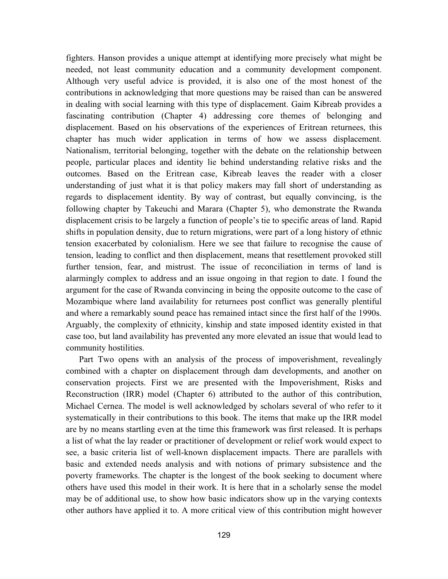fighters. Hanson provides a unique attempt at identifying more precisely what might be needed, not least community education and a community development component. Although very useful advice is provided, it is also one of the most honest of the contributions in acknowledging that more questions may be raised than can be answered in dealing with social learning with this type of displacement. Gaim Kibreab provides a fascinating contribution (Chapter 4) addressing core themes of belonging and displacement. Based on his observations of the experiences of Eritrean returnees, this chapter has much wider application in terms of how we assess displacement. Nationalism, territorial belonging, together with the debate on the relationship between people, particular places and identity lie behind understanding relative risks and the outcomes. Based on the Eritrean case, Kibreab leaves the reader with a closer understanding of just what it is that policy makers may fall short of understanding as regards to displacement identity. By way of contrast, but equally convincing, is the following chapter by Takeuchi and Marara (Chapter 5), who demonstrate the Rwanda displacement crisis to be largely a function of people's tie to specific areas of land. Rapid shifts in population density, due to return migrations, were part of a long history of ethnic tension exacerbated by colonialism. Here we see that failure to recognise the cause of tension, leading to conflict and then displacement, means that resettlement provoked still further tension, fear, and mistrust. The issue of reconciliation in terms of land is alarmingly complex to address and an issue ongoing in that region to date. I found the argument for the case of Rwanda convincing in being the opposite outcome to the case of Mozambique where land availability for returnees post conflict was generally plentiful and where a remarkably sound peace has remained intact since the first half of the 1990s. Arguably, the complexity of ethnicity, kinship and state imposed identity existed in that case too, but land availability has prevented any more elevated an issue that would lead to community hostilities.

Part Two opens with an analysis of the process of impoverishment, revealingly combined with a chapter on displacement through dam developments, and another on conservation projects. First we are presented with the Impoverishment, Risks and Reconstruction (IRR) model (Chapter 6) attributed to the author of this contribution, Michael Cernea. The model is well acknowledged by scholars several of who refer to it systematically in their contributions to this book. The items that make up the IRR model are by no means startling even at the time this framework was first released. It is perhaps a list of what the lay reader or practitioner of development or relief work would expect to see, a basic criteria list of well-known displacement impacts. There are parallels with basic and extended needs analysis and with notions of primary subsistence and the poverty frameworks. The chapter is the longest of the book seeking to document where others have used this model in their work. It is here that in a scholarly sense the model may be of additional use, to show how basic indicators show up in the varying contexts other authors have applied it to. A more critical view of this contribution might however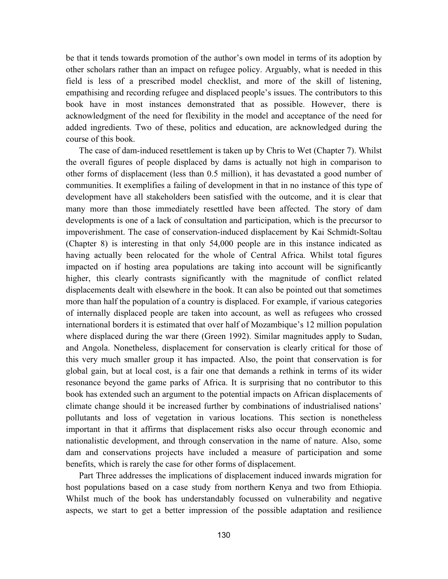be that it tends towards promotion of the author's own model in terms of its adoption by other scholars rather than an impact on refugee policy. Arguably, what is needed in this field is less of a prescribed model checklist, and more of the skill of listening, empathising and recording refugee and displaced people's issues. The contributors to this book have in most instances demonstrated that as possible. However, there is acknowledgment of the need for flexibility in the model and acceptance of the need for added ingredients. Two of these, politics and education, are acknowledged during the course of this book.

The case of dam-induced resettlement is taken up by Chris to Wet (Chapter 7). Whilst the overall figures of people displaced by dams is actually not high in comparison to other forms of displacement (less than 0.5 million), it has devastated a good number of communities. It exemplifies a failing of development in that in no instance of this type of development have all stakeholders been satisfied with the outcome, and it is clear that many more than those immediately resettled have been affected. The story of dam developments is one of a lack of consultation and participation, which is the precursor to impoverishment. The case of conservation-induced displacement by Kai Schmidt-Soltau (Chapter 8) is interesting in that only 54,000 people are in this instance indicated as having actually been relocated for the whole of Central Africa. Whilst total figures impacted on if hosting area populations are taking into account will be significantly higher, this clearly contrasts significantly with the magnitude of conflict related displacements dealt with elsewhere in the book. It can also be pointed out that sometimes more than half the population of a country is displaced. For example, if various categories of internally displaced people are taken into account, as well as refugees who crossed international borders it is estimated that over half of Mozambique's 12 million population where displaced during the war there (Green 1992). Similar magnitudes apply to Sudan, and Angola. Nonetheless, displacement for conservation is clearly critical for those of this very much smaller group it has impacted. Also, the point that conservation is for global gain, but at local cost, is a fair one that demands a rethink in terms of its wider resonance beyond the game parks of Africa. It is surprising that no contributor to this book has extended such an argument to the potential impacts on African displacements of climate change should it be increased further by combinations of industrialised nations' pollutants and loss of vegetation in various locations. This section is nonetheless important in that it affirms that displacement risks also occur through economic and nationalistic development, and through conservation in the name of nature. Also, some dam and conservations projects have included a measure of participation and some benefits, which is rarely the case for other forms of displacement.

Part Three addresses the implications of displacement induced inwards migration for host populations based on a case study from northern Kenya and two from Ethiopia. Whilst much of the book has understandably focussed on vulnerability and negative aspects, we start to get a better impression of the possible adaptation and resilience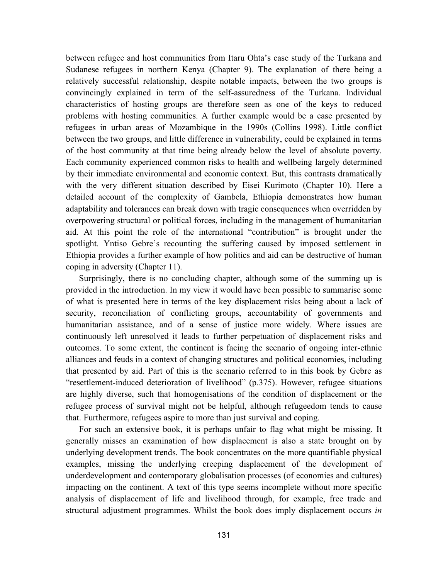between refugee and host communities from Itaru Ohta's case study of the Turkana and Sudanese refugees in northern Kenya (Chapter 9). The explanation of there being a relatively successful relationship, despite notable impacts, between the two groups is convincingly explained in term of the self-assuredness of the Turkana. Individual characteristics of hosting groups are therefore seen as one of the keys to reduced problems with hosting communities. A further example would be a case presented by refugees in urban areas of Mozambique in the 1990s (Collins 1998). Little conflict between the two groups, and little difference in vulnerability, could be explained in terms of the host community at that time being already below the level of absolute poverty. Each community experienced common risks to health and wellbeing largely determined by their immediate environmental and economic context. But, this contrasts dramatically with the very different situation described by Eisei Kurimoto (Chapter 10). Here a detailed account of the complexity of Gambela, Ethiopia demonstrates how human adaptability and tolerances can break down with tragic consequences when overridden by overpowering structural or political forces, including in the management of humanitarian aid. At this point the role of the international "contribution" is brought under the spotlight. Yntiso Gebre's recounting the suffering caused by imposed settlement in Ethiopia provides a further example of how politics and aid can be destructive of human coping in adversity (Chapter 11).

Surprisingly, there is no concluding chapter, although some of the summing up is provided in the introduction. In my view it would have been possible to summarise some of what is presented here in terms of the key displacement risks being about a lack of security, reconciliation of conflicting groups, accountability of governments and humanitarian assistance, and of a sense of justice more widely. Where issues are continuously left unresolved it leads to further perpetuation of displacement risks and outcomes. To some extent, the continent is facing the scenario of ongoing inter-ethnic alliances and feuds in a context of changing structures and political economies, including that presented by aid. Part of this is the scenario referred to in this book by Gebre as "resettlement-induced deterioration of livelihood" (p.375). However, refugee situations are highly diverse, such that homogenisations of the condition of displacement or the refugee process of survival might not be helpful, although refugeedom tends to cause that. Furthermore, refugees aspire to more than just survival and coping.

For such an extensive book, it is perhaps unfair to flag what might be missing. It generally misses an examination of how displacement is also a state brought on by underlying development trends. The book concentrates on the more quantifiable physical examples, missing the underlying creeping displacement of the development of underdevelopment and contemporary globalisation processes (of economies and cultures) impacting on the continent. A text of this type seems incomplete without more specific analysis of displacement of life and livelihood through, for example, free trade and structural adjustment programmes. Whilst the book does imply displacement occurs *in*